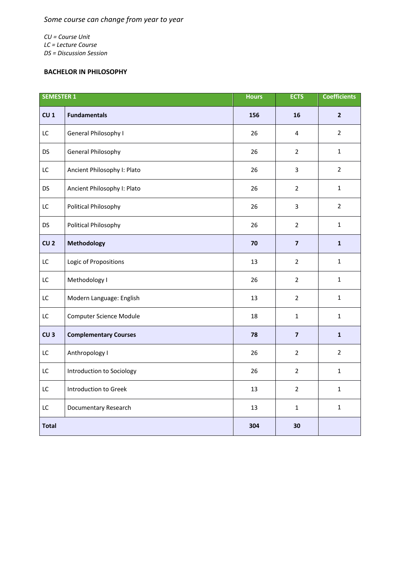*CU = Course Unit LC = Lecture Course DS = Discussion Session*

## **BACHELOR IN PHILOSOPHY**

| <b>SEMESTER 1</b> |                                | <b>Hours</b> | <b>ECTS</b>             | <b>Coefficients</b> |
|-------------------|--------------------------------|--------------|-------------------------|---------------------|
| CU <sub>1</sub>   | <b>Fundamentals</b>            | 156          | 16                      | $\overline{2}$      |
| LC                | General Philosophy I           | 26           | 4                       | $\overline{2}$      |
| <b>DS</b>         | General Philosophy             | 26           | $\overline{2}$          | $\mathbf{1}$        |
| LC                | Ancient Philosophy I: Plato    | 26           | $\overline{3}$          | $\overline{2}$      |
| DS                | Ancient Philosophy I: Plato    | 26           | $\overline{2}$          | $\mathbf{1}$        |
| LC                | Political Philosophy           | 26           | $\mathbf{3}$            | $2^{\circ}$         |
| <b>DS</b>         | Political Philosophy           | 26           | $\overline{2}$          | $\mathbf{1}$        |
| CU <sub>2</sub>   | Methodology                    | 70           | $\overline{\mathbf{z}}$ | $\mathbf 1$         |
| LC                | Logic of Propositions          | 13           | $\overline{2}$          | $\mathbf{1}$        |
| LC                | Methodology I                  | 26           | $\overline{2}$          | $\mathbf{1}$        |
| LC                | Modern Language: English       | 13           | $\overline{2}$          | $\mathbf{1}$        |
| LC                | <b>Computer Science Module</b> | 18           | $\mathbf{1}$            | $\mathbf{1}$        |
| CU <sub>3</sub>   | <b>Complementary Courses</b>   | 78           | $\overline{\mathbf{z}}$ | $\mathbf{1}$        |
| LC                | Anthropology I                 | 26           | $\overline{2}$          | $\overline{2}$      |
| LC                | Introduction to Sociology      | 26           | $\overline{2}$          | $\mathbf{1}$        |
| LC                | Introduction to Greek          | 13           | $\overline{2}$          | $\mathbf{1}$        |
| LC                | Documentary Research           | 13           | $\mathbf{1}$            | $\mathbf 1$         |
| <b>Total</b>      |                                | 304          | 30                      |                     |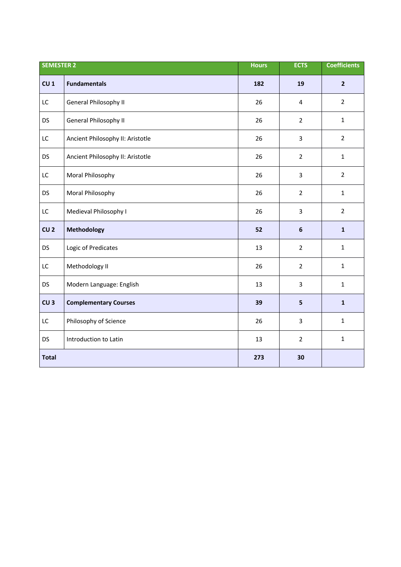| <b>SEMESTER 2</b> |                                  | <b>Hours</b> | <b>ECTS</b>    | <b>Coefficients</b> |
|-------------------|----------------------------------|--------------|----------------|---------------------|
| CU <sub>1</sub>   | <b>Fundamentals</b>              | 182          | 19             | $\overline{2}$      |
| LC                | General Philosophy II            | 26           | 4              | $\overline{2}$      |
| DS                | General Philosophy II            | 26           | $\overline{2}$ | $\mathbf{1}$        |
| LC                | Ancient Philosophy II: Aristotle | 26           | 3              | $\overline{2}$      |
| <b>DS</b>         | Ancient Philosophy II: Aristotle | 26           | $\overline{2}$ | $\mathbf{1}$        |
| LC                | Moral Philosophy                 | 26           | 3              | $\overline{2}$      |
| <b>DS</b>         | Moral Philosophy                 | 26           | $\overline{2}$ | $\mathbf{1}$        |
| LC                | Medieval Philosophy I            | 26           | 3              | $\overline{2}$      |
| CU <sub>2</sub>   | Methodology                      | 52           | $\bf 6$        | $\mathbf{1}$        |
| <b>DS</b>         | Logic of Predicates              | 13           | $\overline{2}$ | $\mathbf{1}$        |
| LC                | Methodology II                   | 26           | $\overline{2}$ | $\mathbf{1}$        |
| <b>DS</b>         | Modern Language: English         | 13           | 3              | $\mathbf{1}$        |
| CU <sub>3</sub>   | <b>Complementary Courses</b>     | 39           | 5              | $\mathbf{1}$        |
| LC                | Philosophy of Science            | 26           | 3              | $\mathbf{1}$        |
| DS                | Introduction to Latin            | 13           | $\overline{2}$ | $\mathbf{1}$        |
| <b>Total</b>      |                                  | 273          | 30             |                     |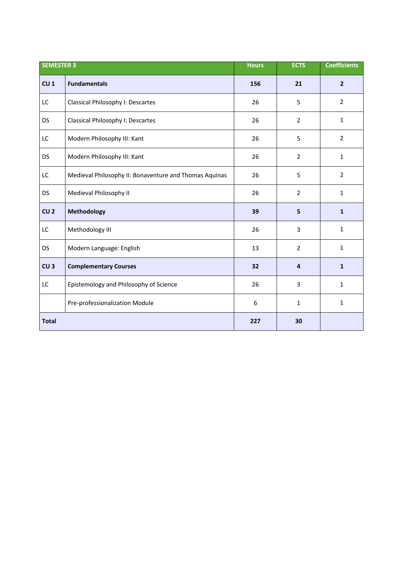| <b>SEMESTER 3</b> |                                                        | <b>Hours</b> | <b>ECTS</b>    | <b>Coefficients</b> |
|-------------------|--------------------------------------------------------|--------------|----------------|---------------------|
| CU <sub>1</sub>   | <b>Fundamentals</b>                                    | 156          | 21             | $\overline{2}$      |
| LC                | Classical Philosophy I: Descartes                      | 26           | 5              | $\overline{2}$      |
| <b>DS</b>         | Classical Philosophy I: Descartes                      | 26           | $\overline{2}$ | $\mathbf{1}$        |
| LC                | Modern Philosophy III: Kant                            | 26           | 5              | $\overline{2}$      |
| DS                | Modern Philosophy III: Kant                            | 26           | $\overline{2}$ | $\mathbf{1}$        |
| LC                | Medieval Philosophy II: Bonaventure and Thomas Aquinas | 26           | 5              | $\overline{2}$      |
| DS                | Medieval Philosophy II                                 | 26           | $\overline{2}$ | $\mathbf{1}$        |
| CU <sub>2</sub>   | Methodology                                            | 39           | 5              | $\mathbf{1}$        |
| LC                | Methodology III                                        | 26           | 3              | $\mathbf{1}$        |
| DS                | Modern Language: English                               | 13           | $\overline{2}$ | $\mathbf{1}$        |
| CU <sub>3</sub>   | <b>Complementary Courses</b>                           | 32           | 4              | $\mathbf{1}$        |
| LC                | Epistemology and Philosophy of Science                 | 26           | 3              | $\mathbf{1}$        |
|                   | Pre-professionalization Module                         | 6            | 1              | $\mathbf{1}$        |
| <b>Total</b>      |                                                        | 227          | 30             |                     |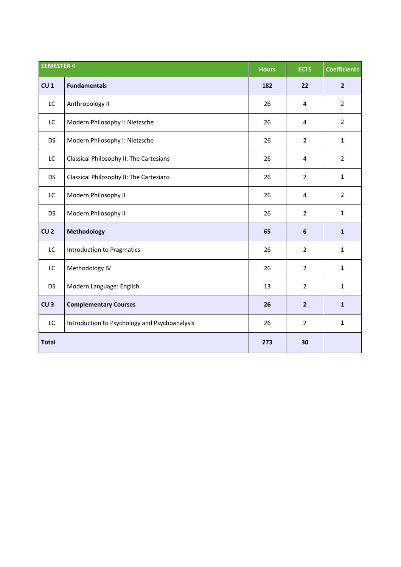| <b>SEMESTER 4</b> |                                               | <b>Hours</b> | <b>ECTS</b>    | <b>Coefficients</b> |
|-------------------|-----------------------------------------------|--------------|----------------|---------------------|
| CU <sub>1</sub>   | <b>Fundamentals</b>                           | 182          | 22             | $\overline{2}$      |
| LC                | Anthropology II                               | 26           | 4              | $\overline{2}$      |
| LC                | Modern Philosophy I: Nietzsche                | 26           | 4              | $\overline{2}$      |
| <b>DS</b>         | Modern Philosophy I: Nietzsche                | 26           | $\overline{2}$ | $\mathbf{1}$        |
| LC                | Classical Philosophy II: The Cartesians       | 26           | 4              | $\overline{2}$      |
| <b>DS</b>         | Classical Philosophy II: The Cartesians       | 26           | $\overline{2}$ | $\mathbf{1}$        |
| LC                | Modern Philosophy II                          | 26           | 4              | $\overline{2}$      |
| <b>DS</b>         | Modern Philosophy II                          | 26           | $\overline{2}$ | $\mathbf{1}$        |
| CU <sub>2</sub>   | <b>Methodology</b>                            | 65           | $6\phantom{1}$ | $\mathbf{1}$        |
| LC                | <b>Introduction to Pragmatics</b>             | 26           | $\overline{2}$ | $\mathbf{1}$        |
| LC                | Methodology IV                                | 26           | $\overline{2}$ | $\mathbf{1}$        |
| <b>DS</b>         | Modern Language: English                      | 13           | $\overline{2}$ | $\mathbf{1}$        |
| CU <sub>3</sub>   | <b>Complementary Courses</b>                  | 26           | $\overline{2}$ | $\mathbf{1}$        |
| LC                | Introduction to Psychology and Psychoanalysis | 26           | $\overline{2}$ | $\mathbf{1}$        |
| <b>Total</b>      |                                               | 273          | 30             |                     |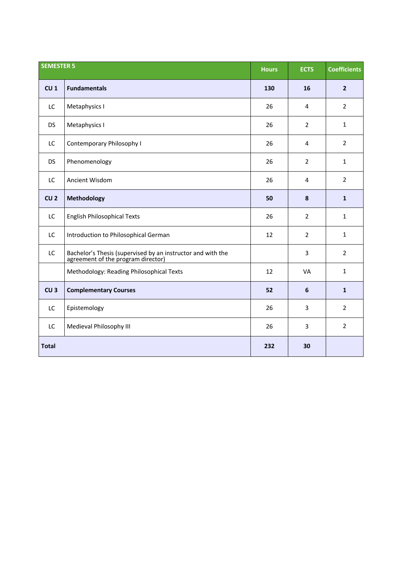| <b>SEMESTER 5</b> |                                                                                                | <b>Hours</b> | <b>ECTS</b>    | <b>Coefficients</b> |
|-------------------|------------------------------------------------------------------------------------------------|--------------|----------------|---------------------|
| CU <sub>1</sub>   | <b>Fundamentals</b>                                                                            | 130          | 16             | $\overline{2}$      |
| LC                | Metaphysics I                                                                                  | 26           | 4              | $\overline{2}$      |
| <b>DS</b>         | Metaphysics I                                                                                  | 26           | $\overline{2}$ | $\mathbf{1}$        |
| LC                | Contemporary Philosophy I                                                                      | 26           | 4              | $\overline{2}$      |
| <b>DS</b>         | Phenomenology                                                                                  | 26           | $\overline{2}$ | $\mathbf{1}$        |
| LC                | Ancient Wisdom                                                                                 | 26           | 4              | $\overline{2}$      |
| CU <sub>2</sub>   | Methodology                                                                                    | 50           | 8              | $\mathbf{1}$        |
| LC                | <b>English Philosophical Texts</b>                                                             | 26           | $\overline{2}$ | $\mathbf{1}$        |
| LC                | Introduction to Philosophical German                                                           | 12           | $\overline{2}$ | $\mathbf{1}$        |
| LC                | Bachelor's Thesis (supervised by an instructor and with the agreement of the program director) |              | 3              | $\overline{2}$      |
|                   | Methodology: Reading Philosophical Texts                                                       | 12           | VA             | $\mathbf{1}$        |
| CU <sub>3</sub>   | <b>Complementary Courses</b>                                                                   | 52           | 6              | $\mathbf{1}$        |
| LC                | Epistemology                                                                                   | 26           | 3              | $\overline{2}$      |
| LC                | Medieval Philosophy III                                                                        | 26           | 3              | $\overline{2}$      |
| <b>Total</b>      |                                                                                                | 232          | 30             |                     |